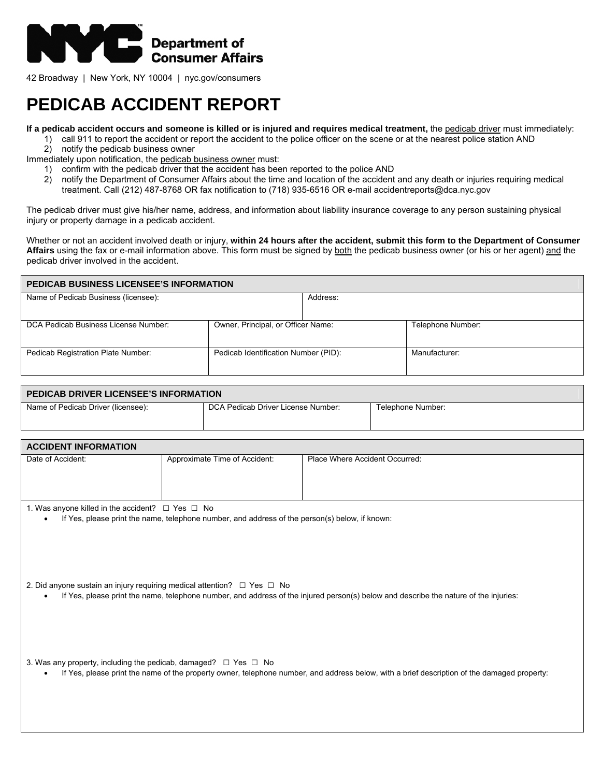

42 Broadway | New York, NY 10004 | nyc.gov/consumers

## **PEDICAB ACCIDENT REPORT**

**If a pedicab accident occurs and someone is killed or is injured and requires medical treatment,** the pedicab driver must immediately:

- 1) call 911 to report the accident or report the accident to the police officer on the scene or at the nearest police station AND
- 2) notify the pedicab business owner

Immediately upon notification, the pedicab business owner must:

- 1) confirm with the pedicab driver that the accident has been reported to the police AND
	- 2) notify the Department of Consumer Affairs about the time and location of the accident and any death or injuries requiring medical treatment. Call (212) 487-8768 OR fax notification to (718) 935-6516 OR e-mail accidentreports@dca.nyc.gov

The pedicab driver must give his/her name, address, and information about liability insurance coverage to any person sustaining physical injury or property damage in a pedicab accident.

Whether or not an accident involved death or injury, **within 24 hours after the accident, submit this form to the Department of Consumer Affairs** using the fax or e-mail information above. This form must be signed by both the pedicab business owner (or his or her agent) and the pedicab driver involved in the accident.

| <b>PEDICAB BUSINESS LICENSEE'S INFORMATION</b> |                                      |          |                   |  |
|------------------------------------------------|--------------------------------------|----------|-------------------|--|
| Name of Pedicab Business (licensee):           |                                      | Address: |                   |  |
|                                                |                                      |          |                   |  |
| DCA Pedicab Business License Number:           | Owner, Principal, or Officer Name:   |          | Telephone Number: |  |
| Pedicab Registration Plate Number:             | Pedicab Identification Number (PID): |          | Manufacturer:     |  |

| PEDICAB DRIVER LICENSEE'S INFORMATION |                                    |                   |  |  |
|---------------------------------------|------------------------------------|-------------------|--|--|
| Name of Pedicab Driver (licensee):    | DCA Pedicab Driver License Number: | Telephone Number: |  |  |

| <b>ACCIDENT INFORMATION</b> |                               |                                |
|-----------------------------|-------------------------------|--------------------------------|
| Date of Accident:           | Approximate Time of Accident: | Place Where Accident Occurred: |

1. Was anyone killed in the accident?  $\Box$  Yes  $\Box$  No

If Yes, please print the name, telephone number, and address of the person(s) below, if known:

| 2. Did anyone sustain an injury requiring medical attention? $\Box$ Yes $\Box$ No |  |  |  |  |
|-----------------------------------------------------------------------------------|--|--|--|--|
|                                                                                   |  |  |  |  |

• If Yes, please print the name, telephone number, and address of the injured person(s) below and describe the nature of the injuries:

3. Was any property, including the pedicab, damaged?  $\Box$  Yes  $\Box$  No

• If Yes, please print the name of the property owner, telephone number, and address below, with a brief description of the damaged property: